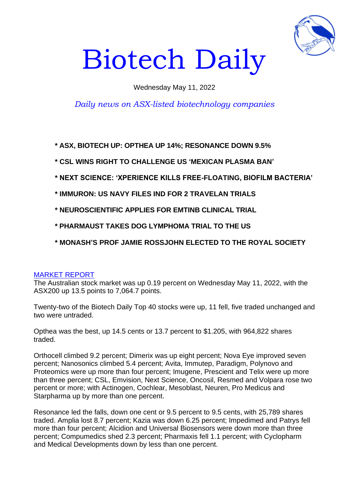

# Biotech Daily

## Wednesday May 11, 2022

# *Daily news on ASX-listed biotechnology companies*

**\* ASX, BIOTECH UP: OPTHEA UP 14%; RESONANCE DOWN 9.5%**

**\* CSL WINS RIGHT TO CHALLENGE US 'MEXICAN PLASMA BAN'**

- **\* NEXT SCIENCE: 'XPERIENCE KILLS FREE-FLOATING, BIOFILM BACTERIA'**
- **\* IMMURON: US NAVY FILES IND FOR 2 TRAVELAN TRIALS**
- **\* NEUROSCIENTIFIC APPLIES FOR EMTINB CLINICAL TRIAL**
- **\* PHARMAUST TAKES DOG LYMPHOMA TRIAL TO THE US**
- **\* MONASH'S PROF JAMIE ROSSJOHN ELECTED TO THE ROYAL SOCIETY**

## MARKET REPORT

The Australian stock market was up 0.19 percent on Wednesday May 11, 2022, with the ASX200 up 13.5 points to 7,064.7 points.

Twenty-two of the Biotech Daily Top 40 stocks were up, 11 fell, five traded unchanged and two were untraded.

Opthea was the best, up 14.5 cents or 13.7 percent to \$1.205, with 964,822 shares traded.

Orthocell climbed 9.2 percent; Dimerix was up eight percent; Nova Eye improved seven percent; Nanosonics climbed 5.4 percent; Avita, Immutep, Paradigm, Polynovo and Proteomics were up more than four percent; Imugene, Prescient and Telix were up more than three percent; CSL, Emvision, Next Science, Oncosil, Resmed and Volpara rose two percent or more; with Actinogen, Cochlear, Mesoblast, Neuren, Pro Medicus and Starpharma up by more than one percent.

Resonance led the falls, down one cent or 9.5 percent to 9.5 cents, with 25,789 shares traded. Amplia lost 8.7 percent; Kazia was down 6.25 percent; Impedimed and Patrys fell more than four percent; Alcidion and Universal Biosensors were down more than three percent; Compumedics shed 2.3 percent; Pharmaxis fell 1.1 percent; with Cyclopharm and Medical Developments down by less than one percent.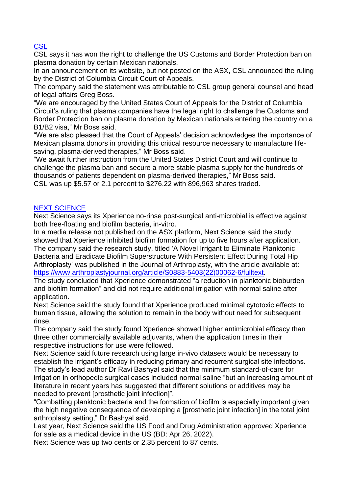## **CSL**

CSL says it has won the right to challenge the US Customs and Border Protection ban on plasma donation by certain Mexican nationals.

In an announcement on its website, but not posted on the ASX, CSL announced the ruling by the District of Columbia Circuit Court of Appeals.

The company said the statement was attributable to CSL group general counsel and head of legal affairs Greg Boss.

"We are encouraged by the United States Court of Appeals for the District of Columbia Circuit's ruling that plasma companies have the legal right to challenge the Customs and Border Protection ban on plasma donation by Mexican nationals entering the country on a B1/B2 visa," Mr Boss said.

"We are also pleased that the Court of Appeals' decision acknowledges the importance of Mexican plasma donors in providing this critical resource necessary to manufacture lifesaving, plasma-derived therapies," Mr Boss said.

"We await further instruction from the United States District Court and will continue to challenge the plasma ban and secure a more stable plasma supply for the hundreds of thousands of patients dependent on plasma-derived therapies," Mr Boss said. CSL was up \$5.57 or 2.1 percent to \$276.22 with 896,963 shares traded.

#### NEXT SCIENCE

Next Science says its Xperience no-rinse post-surgical anti-microbial is effective against both free-floating and biofilm bacteria, in-vitro.

In a media release not published on the ASX platform, Next Science said the study showed that Xperience inhibited biofilm formation for up to five hours after application. The company said the research study, titled 'A Novel Irrigant to Eliminate Planktonic Bacteria and Eradicate Biofilm Superstructure With Persistent Effect During Total Hip Arthroplasty' was published in the Journal of Arthroplasty, with the article available at: [https://www.arthroplastyjournal.org/article/S0883-5403\(22\)00062-6/fulltext.](https://www.arthroplastyjournal.org/article/S0883-5403(22)00062-6/fulltext)

The study concluded that Xperience demonstrated "a reduction in planktonic bioburden and biofilm formation" and did not require additional irrigation with normal saline after application.

Next Science said the study found that Xperience produced minimal cytotoxic effects to human tissue, allowing the solution to remain in the body without need for subsequent rinse.

The company said the study found Xperience showed higher antimicrobial efficacy than three other commercially available adjuvants, when the application times in their respective instructions for use were followed.

Next Science said future research using large in-vivo datasets would be necessary to establish the irrigant's efficacy in reducing primary and recurrent surgical site infections. The study's lead author Dr Ravi Bashyal said that the minimum standard-of-care for irrigation in orthopedic surgical cases included normal saline "but an increasing amount of literature in recent years has suggested that different solutions or additives may be needed to prevent [prosthetic joint infection]".

"Combatting planktonic bacteria and the formation of biofilm is especially important given the high negative consequence of developing a [prosthetic joint infection] in the total joint arthroplasty setting," Dr Bashyal said.

Last year, Next Science said the US Food and Drug Administration approved Xperience for sale as a medical device in the US (BD: Apr 26, 2022).

Next Science was up two cents or 2.35 percent to 87 cents.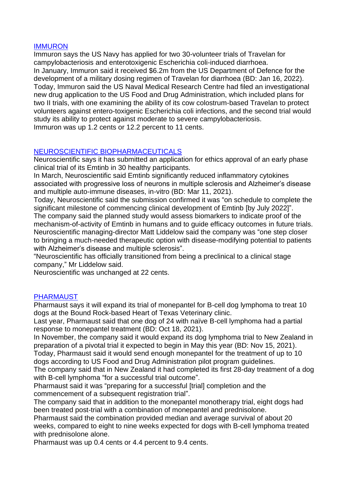#### IMMURON

Immuron says the US Navy has applied for two 30-volunteer trials of Travelan for campylobacteriosis and enterotoxigenic Escherichia coli-induced diarrhoea. In January, Immuron said it received \$6.2m from the US Department of Defence for the development of a military dosing regimen of Travelan for diarrhoea (BD: Jan 16, 2022). Today, Immuron said the US Naval Medical Research Centre had filed an investigational new drug application to the US Food and Drug Administration, which included plans for two II trials, with one examining the ability of its cow colostrum-based Travelan to protect volunteers against entero-toxigenic Escherichia coli infections, and the second trial would study its ability to protect against moderate to severe campylobacteriosis. Immuron was up 1.2 cents or 12.2 percent to 11 cents.

# NEUROSCIENTIFIC BIOPHARMACEUTICALS

Neuroscientific says it has submitted an application for ethics approval of an early phase clinical trial of its Emtinb in 30 healthy participants.

In March, Neuroscientific said Emtinb significantly reduced inflammatory cytokines associated with progressive loss of neurons in multiple sclerosis and Alzheimer's disease and multiple auto-immune diseases, in-vitro (BD: Mar 11, 2021).

Today, Neuroscientific said the submission confirmed it was "on schedule to complete the significant milestone of commencing clinical development of Emtinb [by July 2022]". The company said the planned study would assess biomarkers to indicate proof of the

mechanism-of-activity of Emtinb in humans and to guide efficacy outcomes in future trials. Neuroscientific managing-director Matt Liddelow said the company was "one step closer to bringing a much-needed therapeutic option with disease-modifying potential to patients with Alzheimer's disease and multiple sclerosis".

"Neuroscientific has officially transitioned from being a preclinical to a clinical stage company," Mr Liddelow said.

Neuroscientific was unchanged at 22 cents.

#### PHARMAUST

Pharmaust says it will expand its trial of monepantel for B-cell dog lymphoma to treat 10 dogs at the Bound Rock-based Heart of Texas Veterinary clinic.

Last year, Pharmaust said that one dog of 24 with naïve B-cell lymphoma had a partial response to monepantel treatment (BD: Oct 18, 2021).

In November, the company said it would expand its dog lymphoma trial to New Zealand in preparation of a pivotal trial it expected to begin in May this year (BD: Nov 15, 2021).

Today, Pharmaust said it would send enough monepantel for the treatment of up to 10 dogs according to US Food and Drug Administration pilot program guidelines.

The company said that in New Zealand it had completed its first 28-day treatment of a dog with B-cell lymphoma "for a successful trial outcome".

Pharmaust said it was "preparing for a successful [trial] completion and the commencement of a subsequent registration trial".

The company said that in addition to the monepantel monotherapy trial, eight dogs had been treated post-trial with a combination of monepantel and prednisolone.

Pharmaust said the combination provided median and average survival of about 20 weeks, compared to eight to nine weeks expected for dogs with B-cell lymphoma treated with prednisolone alone.

Pharmaust was up 0.4 cents or 4.4 percent to 9.4 cents.